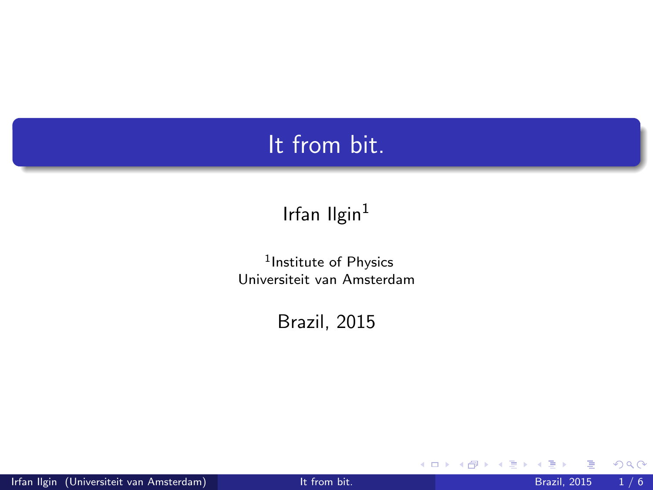### It from bit.

#### Irfan Ilgin<sup>1</sup>

1 Institute of Physics Universiteit van Amsterdam

Brazil, 2015

 $\leftarrow$   $\Box$ 

<span id="page-0-0"></span> $299$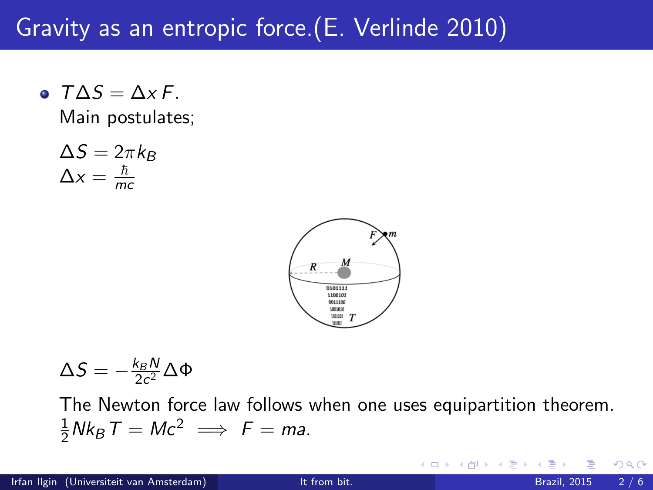## Gravity as an entropic force.(E. Verlinde 2010)

 $\bullet$   $T\Delta S = \Delta x F$ . Main postulates;

$$
\Delta S = 2\pi k_B
$$
  

$$
\Delta x = \frac{\hbar}{mc}
$$



$$
\Delta S=-\tfrac{k_B N}{2c^2}\Delta\Phi
$$

The Newton force law follows when one uses equipartition theorem.  $\frac{1}{2}Nk_B T = Mc^2 \implies F = ma.$ 

4 0 8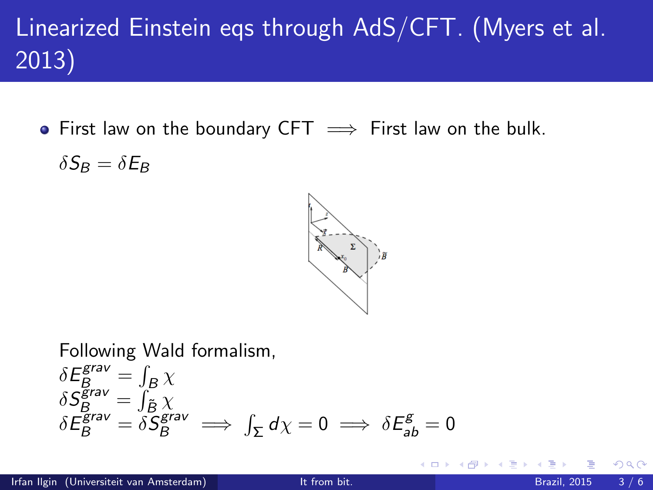# Linearized Einstein eqs through AdS/CFT. (Myers et al. 2013)

• First law on the boundary CFT  $\implies$  First law on the bulk.

 $\delta S_B = \delta E_B$ 



Following Wald formalism,  
\n
$$
\delta E_B^{grav} = \int_B \chi
$$
\n
$$
\delta S_B^{grav} = \int_{\tilde{B}} \chi
$$
\n
$$
\delta E_B^{grav} = \delta S_B^{grav} \implies \int_{\Sigma} d\chi = 0 \implies \delta E_{ab}^g = 0
$$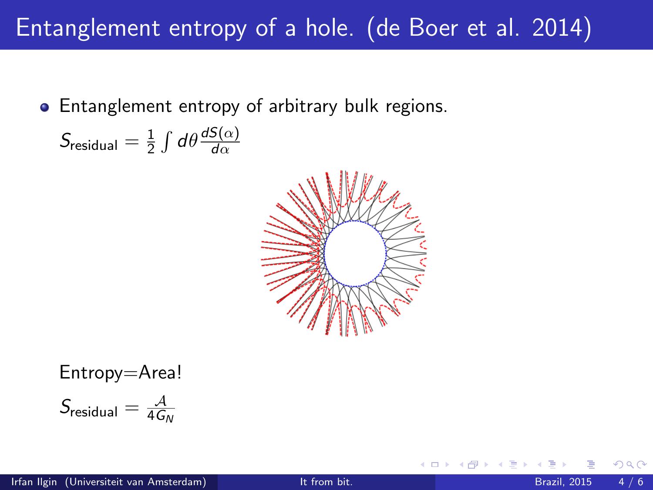## Entanglement entropy of a hole. (de Boer et al. 2014)

Entanglement entropy of arbitrary bulk regions.

$$
S_{\text{residual}} = \frac{1}{2} \int d\theta \frac{dS(\alpha)}{d\alpha}
$$



Entropy=Area!

$$
S_{\text{residual}} = \tfrac{\mathcal{A}}{4 G_N}
$$

 $\leftarrow$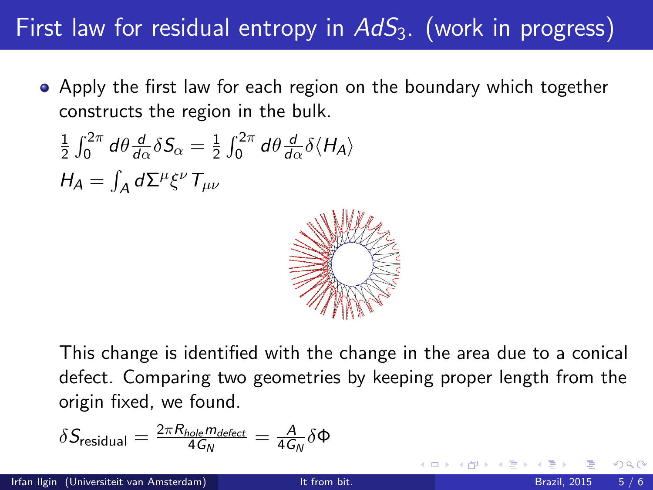## First law for residual entropy in  $AdS<sub>3</sub>$ . (work in progress)

Apply the first law for each region on the boundary which together constructs the region in the bulk.

$$
\frac{1}{2} \int_0^{2\pi} d\theta \frac{d}{d\alpha} \delta S_{\alpha} = \frac{1}{2} \int_0^{2\pi} d\theta \frac{d}{d\alpha} \delta \langle H_A \rangle
$$
  

$$
H_A = \int_A d\Sigma^{\mu} \xi^{\nu} T_{\mu\nu}
$$



This change is identified with the change in the area due to a conical defect. Comparing two geometries by keeping proper length from the origin fixed, we found.

$$
\delta S_{\text{residual}} = \tfrac{2\pi R_{\text{hole}} m_{\text{defect}}}{4 G_N} = \tfrac{A}{4 G_N} \delta \Phi
$$

つへへ